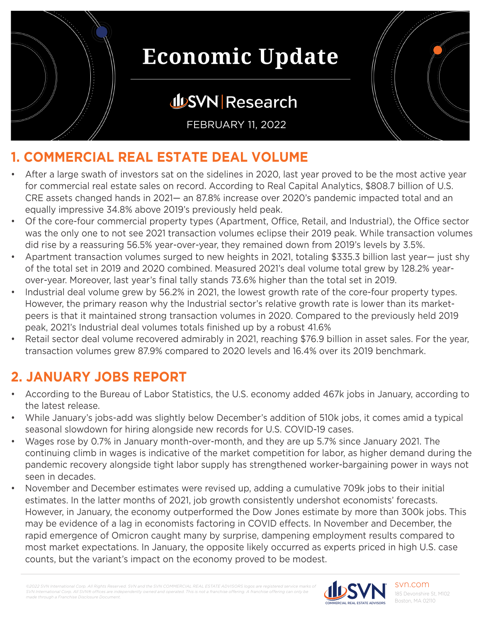

### **JUSVN Research**

FEBRUARY 11, 2022



- After a large swath of investors sat on the sidelines in 2020, last year proved to be the most active year for commercial real estate sales on record. According to Real Capital Analytics, \$808.7 billion of U.S. CRE assets changed hands in 2021— an 87.8% increase over 2020's pandemic impacted total and an equally impressive 34.8% above 2019's previously held peak.
- Of the core-four commercial property types (Apartment, Office, Retail, and Industrial), the Office sector was the only one to not see 2021 transaction volumes eclipse their 2019 peak. While transaction volumes did rise by a reassuring 56.5% year-over-year, they remained down from 2019's levels by 3.5%.
- Apartment transaction volumes surged to new heights in 2021, totaling \$335.3 billion last year— just shy of the total set in 2019 and 2020 combined. Measured 2021's deal volume total grew by 128.2% yearover-year. Moreover, last year's final tally stands 73.6% higher than the total set in 2019.
- Industrial deal volume grew by 56.2% in 2021, the lowest growth rate of the core-four property types. However, the primary reason why the Industrial sector's relative growth rate is lower than its marketpeers is that it maintained strong transaction volumes in 2020. Compared to the previously held 2019 peak, 2021's Industrial deal volumes totals finished up by a robust 41.6%
- Retail sector deal volume recovered admirably in 2021, reaching \$76.9 billion in asset sales. For the year, transaction volumes grew 87.9% compared to 2020 levels and 16.4% over its 2019 benchmark.

#### **2. JANUARY JOBS REPORT**

- According to the Bureau of Labor Statistics, the U.S. economy added 467k jobs in January, according to the latest release.
- While January's jobs-add was slightly below December's addition of 510k jobs, it comes amid a typical seasonal slowdown for hiring alongside new records for U.S. COVID-19 cases.
- Wages rose by 0.7% in January month-over-month, and they are up 5.7% since January 2021. The continuing climb in wages is indicative of the market competition for labor, as higher demand during the pandemic recovery alongside tight labor supply has strengthened worker-bargaining power in ways not seen in decades.
- November and December estimates were revised up, adding a cumulative 709k jobs to their initial estimates. In the latter months of 2021, job growth consistently undershot economists' forecasts. However, in January, the economy outperformed the Dow Jones estimate by more than 300k jobs. This may be evidence of a lag in economists factoring in COVID effects. In November and December, the rapid emergence of Omicron caught many by surprise, dampening employment results compared to most market expectations. In January, the opposite likely occurred as experts priced in high U.S. case counts, but the variant's impact on the economy proved to be modest.

*©2022 SVN International Corp. All Rights Reserved. SVN and the SVN COMMERCIAL REAL ESTATE ADVISORS logos are registered service marks of SVN International Corp. All SVN® offices are independent made through a Franchise Disclosure Document.*

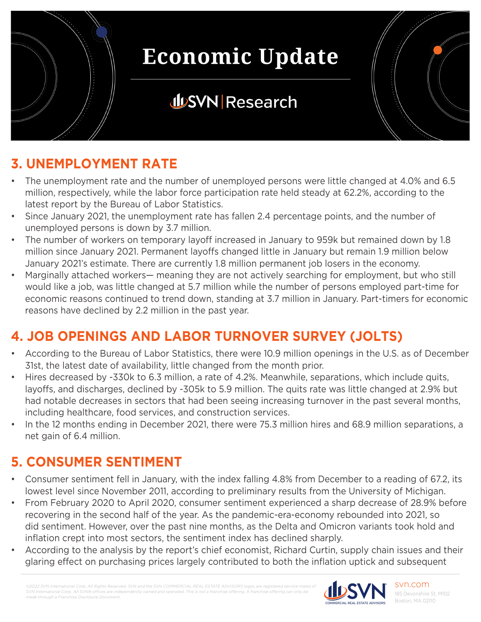

### **JUSVN Research**

### **3. UNEMPLOYMENT RATE**

- The unemployment rate and the number of unemployed persons were little changed at 4.0% and 6.5 million, respectively, while the labor force participation rate held steady at 62.2%, according to the latest report by the Bureau of Labor Statistics.
- Since January 2021, the unemployment rate has fallen 2.4 percentage points, and the number of unemployed persons is down by 3.7 million.
- The number of workers on temporary layoff increased in January to 959k but remained down by 1.8 million since January 2021. Permanent layoffs changed little in January but remain 1.9 million below January 2021's estimate. There are currently 1.8 million permanent job losers in the economy.
- Marginally attached workers— meaning they are not actively searching for employment, but who still would like a job, was little changed at 5.7 million while the number of persons employed part-time for economic reasons continued to trend down, standing at 3.7 million in January. Part-timers for economic reasons have declined by 2.2 million in the past year.

### **4. JOB OPENINGS AND LABOR TURNOVER SURVEY (JOLTS)**

- According to the Bureau of Labor Statistics, there were 10.9 million openings in the U.S. as of December 31st, the latest date of availability, little changed from the month prior.
- Hires decreased by -330k to 6.3 million, a rate of 4.2%. Meanwhile, separations, which include quits, layoffs, and discharges, declined by -305k to 5.9 million. The quits rate was little changed at 2.9% but had notable decreases in sectors that had been seeing increasing turnover in the past several months, including healthcare, food services, and construction services.
- In the 12 months ending in December 2021, there were 75.3 million hires and 68.9 million separations, a net gain of 6.4 million.

### **5. CONSUMER SENTIMENT**

- Consumer sentiment fell in January, with the index falling 4.8% from December to a reading of 67.2, its lowest level since November 2011, according to preliminary results from the University of Michigan.
- From February 2020 to April 2020, consumer sentiment experienced a sharp decrease of 28.9% before recovering in the second half of the year. As the pandemic-era-economy rebounded into 2021, so did sentiment. However, over the past nine months, as the Delta and Omicron variants took hold and inflation crept into most sectors, the sentiment index has declined sharply.
- According to the analysis by the report's chief economist, Richard Curtin, supply chain issues and their glaring effect on purchasing prices largely contributed to both the inflation uptick and subsequent

*©2022 SVN International Corp. All Rights Reserved. SVN and the SVN COMMERCIAL REAL ESTATE ADVISORS logos are registered service marks of SVN International Corp. All SVN® offices are indeperational Corp. All SVN®* offices are indeper *made through a Franchise Disclosure Document.*

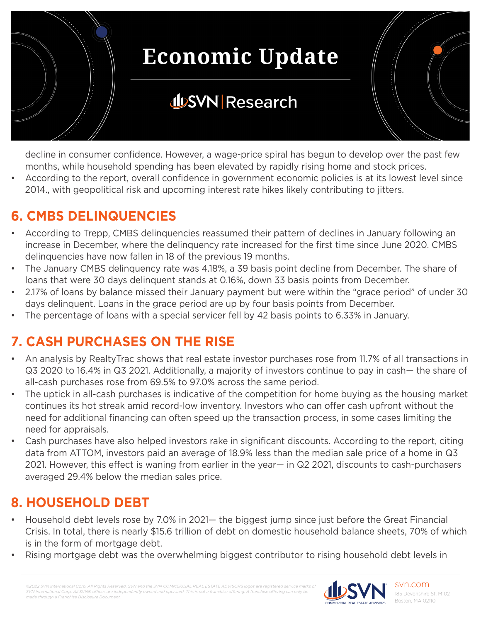

### **JUSVN Research**

decline in consumer confidence. However, a wage-price spiral has begun to develop over the past few months, while household spending has been elevated by rapidly rising home and stock prices.

• According to the report, overall confidence in government economic policies is at its lowest level since 2014., with geopolitical risk and upcoming interest rate hikes likely contributing to jitters.

### **6. CMBS DELINQUENCIES**

- According to Trepp, CMBS delinquencies reassumed their pattern of declines in January following an increase in December, where the delinquency rate increased for the first time since June 2020. CMBS delinquencies have now fallen in 18 of the previous 19 months.
- The January CMBS delinquency rate was 4.18%, a 39 basis point decline from December. The share of loans that were 30 days delinquent stands at 0.16%, down 33 basis points from December.
- 2.17% of loans by balance missed their January payment but were within the "grace period" of under 30 days delinquent. Loans in the grace period are up by four basis points from December.
- The percentage of loans with a special servicer fell by 42 basis points to 6.33% in January.

### **7. CASH PURCHASES ON THE RISE**

- An analysis by RealtyTrac shows that real estate investor purchases rose from 11.7% of all transactions in Q3 2020 to 16.4% in Q3 2021. Additionally, a majority of investors continue to pay in cash— the share of all-cash purchases rose from 69.5% to 97.0% across the same period.
- The uptick in all-cash purchases is indicative of the competition for home buying as the housing market continues its hot streak amid record-low inventory. Investors who can offer cash upfront without the need for additional financing can often speed up the transaction process, in some cases limiting the need for appraisals.
- Cash purchases have also helped investors rake in significant discounts. According to the report, citing data from ATTOM, investors paid an average of 18.9% less than the median sale price of a home in Q3 2021. However, this effect is waning from earlier in the year— in Q2 2021, discounts to cash-purchasers averaged 29.4% below the median sales price.

#### **8. HOUSEHOLD DEBT**

- Household debt levels rose by 7.0% in 2021— the biggest jump since just before the Great Financial Crisis. In total, there is nearly \$15.6 trillion of debt on domestic household balance sheets, 70% of which is in the form of mortgage debt.
- Rising mortgage debt was the overwhelming biggest contributor to rising household debt levels in

*©2022 SVN International Corp. All Rights Reserved. SVN and the SVN COMMERCIAL REAL ESTATE ADVISORS logos are registered service marks of SVN International Corp. All SVN® offices are independently owned and operated. This is not a franchise offering. A franchise offering can only be made through a Franchise Disclosure Document.*

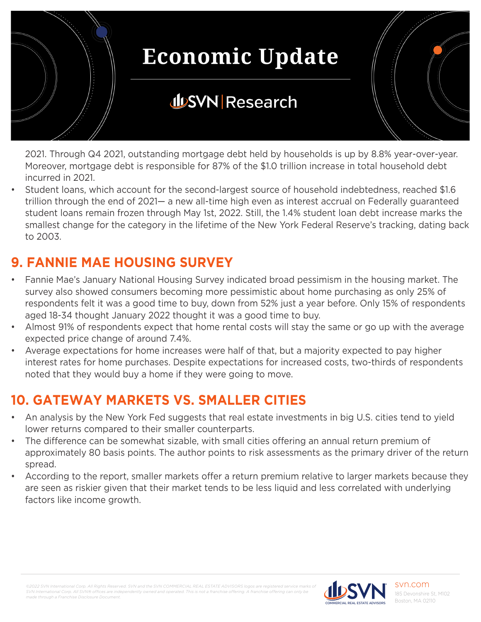

2021. Through Q4 2021, outstanding mortgage debt held by households is up by 8.8% year-over-year. Moreover, mortgage debt is responsible for 87% of the \$1.0 trillion increase in total household debt incurred in 2021.

• Student loans, which account for the second-largest source of household indebtedness, reached \$1.6 trillion through the end of 2021— a new all-time high even as interest accrual on Federally guaranteed student loans remain frozen through May 1st, 2022. Still, the 1.4% student loan debt increase marks the smallest change for the category in the lifetime of the New York Federal Reserve's tracking, dating back to 2003.

### **9. FANNIE MAE HOUSING SURVEY**

- Fannie Mae's January National Housing Survey indicated broad pessimism in the housing market. The survey also showed consumers becoming more pessimistic about home purchasing as only 25% of respondents felt it was a good time to buy, down from 52% just a year before. Only 15% of respondents aged 18-34 thought January 2022 thought it was a good time to buy.
- Almost 91% of respondents expect that home rental costs will stay the same or go up with the average expected price change of around 7.4%.
- Average expectations for home increases were half of that, but a majority expected to pay higher interest rates for home purchases. Despite expectations for increased costs, two-thirds of respondents noted that they would buy a home if they were going to move.

### **10. GATEWAY MARKETS VS. SMALLER CITIES**

- An analysis by the New York Fed suggests that real estate investments in big U.S. cities tend to yield lower returns compared to their smaller counterparts.
- The difference can be somewhat sizable, with small cities offering an annual return premium of approximately 80 basis points. The author points to risk assessments as the primary driver of the return spread.
- According to the report, smaller markets offer a return premium relative to larger markets because they are seen as riskier given that their market tends to be less liquid and less correlated with underlying factors like income growth.